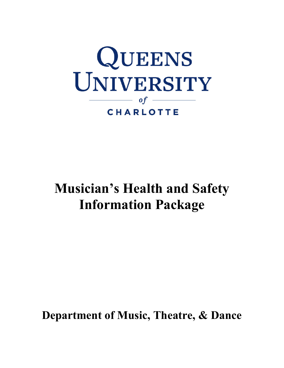

# **Musician's Health and Safety Information Package**

 **Department of Music, Theatre, & Dance**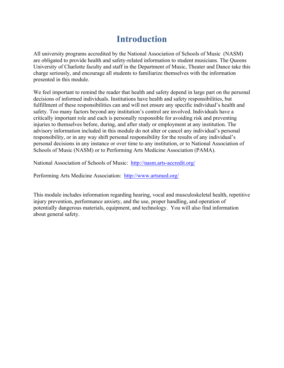### **Introduction**

All university programs accredited by the National Association of Schools of Music (NASM) are obligated to provide health and safety-related information to student musicians. The Queens University of Charlotte faculty and staff in the Department of Music, Theater and Dance take this charge seriously, and encourage all students to familiarize themselves with the information presented in this module.

We feel important to remind the reader that health and safety depend in large part on the personal decisions of informed individuals. Institutions have health and safety responsibilities, but fulfillment of these responsibilities can and will not ensure any specific individual's health and safety. Too many factors beyond any institution's control are involved. Individuals have a critically important role and each is personally responsible for avoiding risk and preventing injuries to themselves before, during, and after study or employment at any institution. The advisory information included in this module do not alter or cancel any individual's personal responsibility, or in any way shift personal responsibility for the results of any individual's personal decisions in any instance or over time to any institution, or to National Association of Schools of Music (NASM) or to Performing Arts Medicine Association (PAMA).

National Association of Schools of Music: http://nasm.arts-accredit.org/

Performing Arts Medicine Association: http://www.artsmed.org/

This module includes information regarding hearing, vocal and musculoskeletal health, repetitive injury prevention, performance anxiety, and the use, proper handling, and operation of potentially dangerous materials, equipment, and technology. You will also find information about general safety.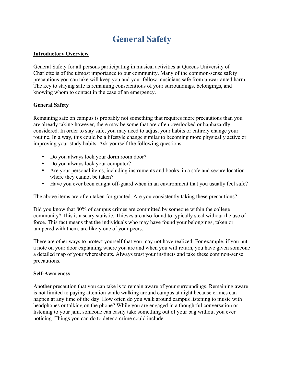### **General Safety**

#### **Introductory Overview**

General Safety for all persons participating in musical activities at Queens University of Charlotte is of the utmost importance to our community. Many of the common-sense safety precautions you can take will keep you and your fellow musicians safe from unwarranted harm. The key to staying safe is remaining conscientious of your surroundings, belongings, and knowing whom to contact in the case of an emergency.

#### **General Safety**

 improving your study habits. Ask yourself the following questions: Remaining safe on campus is probably not something that requires more precautions than you are already taking however, there may be some that are often overlooked or haphazardly considered. In order to stay safe, you may need to adjust your habits or entirely change your routine. In a way, this could be a lifestyle change similar to becoming more physically active or

- Do you always lock your dorm room door?
- Do you always lock your computer?
- Are your personal items, including instruments and books, in a safe and secure location where they cannot be taken?
- Have you ever been caught off-guard when in an environment that you usually feel safe?

The above items are often taken for granted. Are you consistently taking these precautions?

Did you know that 80% of campus crimes are committed by someone within the college community? This is a scary statistic. Thieves are also found to typically steal without the use of force. This fact means that the individuals who may have found your belongings, taken or tampered with them, are likely one of your peers.

There are other ways to protect yourself that you may not have realized. For example, if you put a note on your door explaining where you are and when you will return, you have given someone a detailed map of your whereabouts. Always trust your instincts and take these common-sense precautions.

#### **Self-Awareness**

Another precaution that you can take is to remain aware of your surroundings. Remaining aware is not limited to paying attention while walking around campus at night because crimes can happen at any time of the day. How often do you walk around campus listening to music with headphones or talking on the phone? While you are engaged in a thoughtful conversation or listening to your jam, someone can easily take something out of your bag without you ever noticing. Things you can do to deter a crime could include: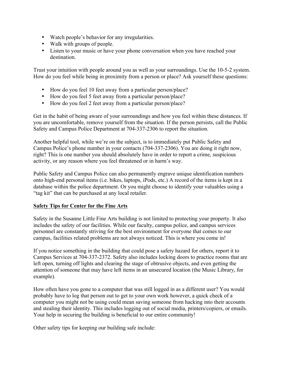- Watch people's behavior for any irregularities.
- Walk with groups of people.
- Listen to your music or have your phone conversation when you have reached your destination.

Trust your intuition with people around you as well as your surroundings. Use the 10-5-2 system. How do you feel while being in proximity from a person or place? Ask yourself these questions:

- How do you feel 10 feet away from a particular person/place?
- How do you feel 5 feet away from a particular person/place?
- How do you feel 2 feet away from a particular person/place?

Get in the habit of being aware of your surroundings and how you feel within these distances. If you are uncomfortable, remove yourself from the situation. If the person persists, call the Public Safety and Campus Police Department at 704-337-2306 to report the situation.

Another helpful tool, while we're on the subject, is to immediately put Public Safety and Campus Police's phone number in your contacts (704-337-2306). You are doing it right now, right? This is one number you should absolutely have in order to report a crime, suspicious activity, or any reason where you feel threatened or in harm's way.

Public Safety and Campus Police can also permanently engrave unique identification numbers onto high-end personal items (i.e. bikes, laptops, iPods, etc.) A record of the items is kept in a database within the police department. Or you might choose to identify your valuables using a "tag kit" that can be purchased at any local retailer.

#### **Safety Tips for Center for the Fine Arts**

Safety in the Susanne Little Fine Arts building is not limited to protecting your property. It also includes the safety of our facilities. While our faculty, campus police, and campus services personnel are constantly striving for the best environment for everyone that comes to our campus, facilities related problems are not always noticed. This is where you come in!

If you notice something in the building that could pose a safety hazard for others, report it to Campus Services at 704-337-2372. Safety also includes locking doors to practice rooms that are left open, turning off lights and clearing the stage of obtrusive objects, and even getting the attention of someone that may have left items in an unsecured location (the Music Library, for example).

How often have you gone to a computer that was still logged in as a different user? You would probably have to log that person out to get to your own work however, a quick check of a computer you might not be using could mean saving someone from hacking into their accounts and stealing their identity. This includes logging out of social media, printers/copiers, or emails. Your help in securing the building is beneficial to our entire community!

Other safety tips for keeping our building safe include: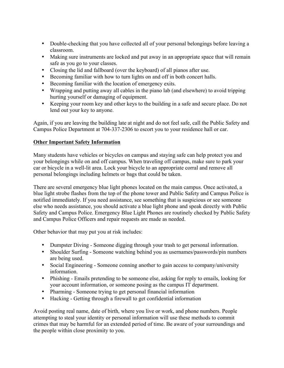- Double-checking that you have collected all of your personal belongings before leaving a classroom.
- Making sure instruments are locked and put away in an appropriate space that will remain safe as you go to your classes.
- Closing the lid and fallboard (over the keyboard) of all pianos after use.
- Becoming familiar with how to turn lights on and off in both concert halls.
- Becoming familiar with the location of emergency exits.
- Wrapping and putting away all cables in the piano lab (and elsewhere) to avoid tripping hurting yourself or damaging of equipment.
- Keeping your room key and other keys to the building in a safe and secure place. Do not lend out your key to anyone.

 Campus Police Department at 704-337-2306 to escort you to your residence hall or car. Again, if you are leaving the building late at night and do not feel safe, call the Public Safety and

#### **Other Important Safety Information**

Many students have vehicles or bicycles on campus and staying safe can help protect you and your belongings while on and off campus. When traveling off campus, make sure to park your car or bicycle in a well-lit area. Lock your bicycle to an appropriate corral and remove all personal belongings including helmets or bags that could be taken.

There are several emergency blue light phones located on the main campus. Once activated, a blue light strobe flashes from the top of the phone tower and Public Safety and Campus Police is notified immediately. If you need assistance, see something that is suspicious or see someone else who needs assistance, you should activate a blue light phone and speak directly with Public Safety and Campus Police. Emergency Blue Light Phones are routinely checked by Public Safety and Campus Police Officers and repair requests are made as needed.

Other behavior that may put you at risk includes:

- Dumpster Diving Someone digging through your trash to get personal information.
- Shoulder Surfing Someone watching behind you as usernames/passwords/pin numbers are being used.
- Social Engineering Someone conning another to gain access to company/university information.
- Phishing Emails pretending to be someone else, asking for reply to emails, looking for your account information, or someone posing as the campus IT department.
- Pharming Someone trying to get personal financial information
- Hacking Getting through a firewall to get confidential information

Avoid posting real name, date of birth, where you live or work, and phone numbers. People attempting to steal your identity or personal information will use these methods to commit crimes that may be harmful for an extended period of time. Be aware of your surroundings and the people within close proximity to you.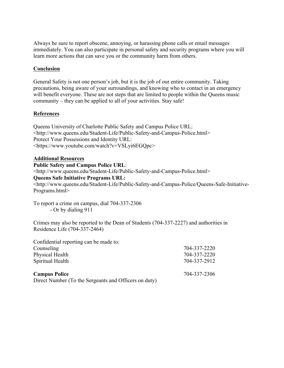Always be sure to report obscene, annoying, or harassing phone calls or email messages immediately. You can also participate in personal safety and security programs where you will learn more actions that can save you or the community harm from others.

#### **Conclusion**

General Safety is not one person's job, but it is the job of our entire community. Taking precautions, being aware of your surroundings, and knowing who to contact in an emergency will benefit everyone. These are not steps that are limited to people within the Queens music community – they can be applied to all of your activities. Stay safe!

#### **References**

Queens University of Charlotte Public Safety and Campus Police URL: <http://www.queens.edu/Student-Life/Public-Safety-and-Campus-Police.html> Protect Your Possessions and Identity URL: <https://www.youtube.com/watch?v=VSLyi6EGQpc>

#### **Additional Resources**

#### **Public Safety and Campus Police URL**:

<http://www.queens.edu/Student-Life/Public-Safety-and-Campus-Police.html>

#### **Queens Safe Initiative Programs URL:**

<http://www.queens.edu/Student-Life/Public-Safety-and-Campus-Police/Queens-Safe-Initiative-Programs.html>

To report a crime on campus, dial 704-337-2306 - Or by dialing 911

Crimes may also be reported to the Dean of Students (704-337-2227) and authorities in Residence Life (704-337-2464)

| Confidential reporting can be made to:                |              |
|-------------------------------------------------------|--------------|
| Counseling                                            | 704-337-2220 |
| Physical Health                                       | 704-337-2220 |
| Spiritual Health                                      | 704-337-2912 |
| <b>Campus Police</b>                                  | 704-337-2306 |
| Direct Number (To the Sergeants and Officers on duty) |              |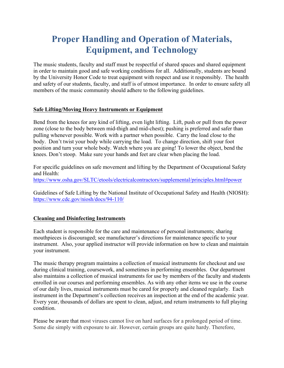### **Proper Handling and Operation of Materials, Equipment, and Technology**

The music students, faculty and staff must be respectful of shared spaces and shared equipment in order to maintain good and safe working conditions for all. Additionally, students are bound by the University Honor Code to treat equipment with respect and use it responsibly. The health and safety of our students, faculty, and staff is of utmost importance. In order to ensure safety all members of the music community should adhere to the following guidelines.

#### **Safe Lifting/Moving Heavy Instruments or Equipment**

 body. Don't twist your body while carrying the load. To change direction, shift your foot knees. Don't stoop. Make sure your hands and feet are clear when placing the load. Bend from the knees for any kind of lifting, even light lifting. Lift, push or pull from the power zone (close to the body between mid-thigh and mid-chest); pushing is preferred and safer than pulling whenever possible. Work with a partner when possible. Carry the load close to the position and turn your whole body. Watch where you are going! To lower the object, bend the

For specific guidelines on safe movement and lifting by the Department of Occupational Safety and Health: https://www.osha.gov/SLTC/etools/electricalcontractors/supplemental/principles.html#power

Guidelines of Safe Lifting by the National Institute of Occupational Safety and Health (NIOSH): https://www.cdc.gov/niosh/docs/94-110/

#### **Cleaning and Disinfecting Instruments**

Each student is responsible for the care and maintenance of personal instruments; sharing mouthpieces is discouraged; see manufacturer's directions for maintenance specific to your instrument. Also, your applied instructor will provide information on how to clean and maintain your instrument.

The music therapy program maintains a collection of musical instruments for checkout and use during clinical training, coursework, and sometimes in performing ensembles. Our department also maintains a collection of musical instruments for use by members of the faculty and students enrolled in our courses and performing ensembles. As with any other items we use in the course of our daily lives, musical instruments must be cared for properly and cleaned regularly. Each instrument in the Department's collection receives an inspection at the end of the academic year. Every year, thousands of dollars are spent to clean, adjust, and return instruments to full playing condition.

Please be aware that most viruses cannot live on hard surfaces for a prolonged period of time. Some die simply with exposure to air. However, certain groups are quite hardy. Therefore,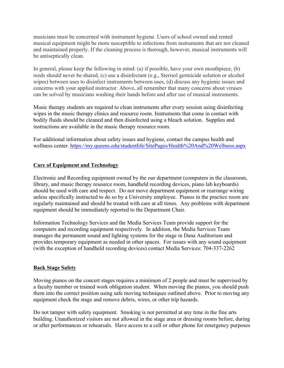musicians must be concerned with instrument hygiene. Users of school owned and rented musical equipment might be more susceptible to infections from instruments that are not cleaned and maintained properly. If the cleaning process is thorough, however, musical instruments will be antiseptically clean.

In general, please keep the following in mind: (a) if possible, have your own mouthpiece, (b) reeds should never be shared, (c) use a disinfectant (e.g., Sterisol germicide solution or alcohol wipes) between uses to disinfect instruments between uses, (d) discuss any hygienic issues and concerns with your applied instructor. Above, all remember that many concerns about viruses can be solved by musicians washing their hands before and after use of musical instruments.

Music therapy students are required to clean instruments after every session using disinfecting wipes in the music therapy clinics and resource room. Instruments that come in contact with bodily fluids should be cleaned and then disinfected using a bleach solution. Supplies and instructions are available in the music therapy resource room.

For additional information about safety issues and hygiene, contact the campus health and wellness center. https://my.queens.edu/studentlife/SitePages/Health%20And%20Wellness.aspx

#### **Care of Equipment and Technology**

Electronic and Recording equipment owned by the our department (computers in the classroom, library, and music therapy resource room, handheld recording devices, piano lab keyboards) should be used with care and respect. Do not move department equipment or rearrange wiring unless specifically instructed to do so by a University employee. Pianos in the practice room are regularly maintained and should be treated with care at all times. Any problems with department equipment should be immediately reported to the Department Chair.

Information Technology Services and the Media Services Team provide support for the computers and recording equipment respectively. In addition, the Media Services Team manages the permanent sound and lighting systems for the stage in Dana Auditorium and provides temporary equipment as needed in other spaces. For issues with any sound equipment (with the exception of handheld recording devices) contact Media Services: 704-337-2262

#### **Back Stage Safety**

Moving pianos on the concert stages requires a minimum of 2 people and must be supervised by a faculty member or trained work obligation student. When moving the pianos, you should push them into the correct position using safe moving techniques outlined above. Prior to moving any equipment check the stage and remove debris, wires, or other trip hazards.

Do not tamper with safety equipment. Smoking is not permitted at any time in the fine arts building. Unauthorized visitors are not allowed in the stage area or dressing rooms before, during or after performances or rehearsals. Have access to a cell or other phone for emergency purposes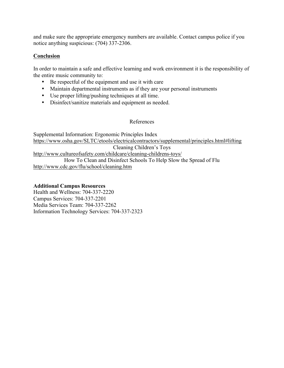and make sure the appropriate emergency numbers are available. Contact campus police if you notice anything suspicious: (704) 337-2306.

#### **Conclusion**

In order to maintain a safe and effective learning and work environment it is the responsibility of the entire music community to:

- Be respectful of the equipment and use it with care
- Maintain departmental instruments as if they are your personal instruments
- Use proper lifting/pushing techniques at all time.
- Disinfect/sanitize materials and equipment as needed.

#### References

Supplemental Information: Ergonomic Principles Index https://www.osha.gov/SLTC/etools/electricalcontractors/supplemental/principles.html#lifting Cleaning Children's Toys http://www.cultureofsafety.com/childcare/cleaning-childrens-toys/ How To Clean and Disinfect Schools To Help Slow the Spread of Flu http://www.cdc.gov/flu/school/cleaning.htm

#### **Additional Campus Resources**

Health and Wellness: 704-337-2220 Campus Services: 704-337-2201 Media Services Team: 704-337-2262 Information Technology Services: 704-337-2323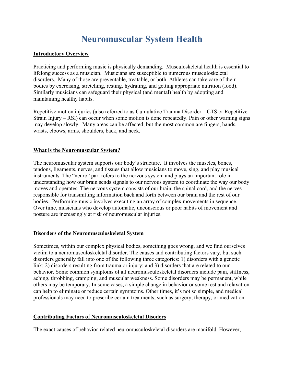### **Neuromuscular System Health**

#### **Introductory Overview**

 Practicing and performing music is physically demanding. Musculoskeletal health is essential to lifelong success as a musician. Musicians are susceptible to numerous musculoskeletal disorders. Many of those are preventable, treatable, or both. Athletes can take care of their bodies by exercising, stretching, resting, hydrating, and getting appropriate nutrition (food). Similarly musicians can safeguard their physical (and mental) health by adopting and maintaining healthy habits.

 Repetitive motion injuries (also referred to as Cumulative Trauma Disorder – CTS or Repetitive Strain Injury – RSI) can occur when some motion is done repeatedly. Pain or other warning signs may develop slowly. Many areas can be affected, but the most common are fingers, hands, wrists, elbows, arms, shoulders, back, and neck.

#### **What is the Neuromuscular System?**

 The neuromuscular system supports our body's structure. It involves the muscles, bones, tendons, ligaments, nerves, and tissues that allow musicians to move, sing, and play musical instruments. The "neuro" part refers to the nervous system and plays an important role in understanding how our brain sends signals to our nervous system to coordinate the way our body moves and operates. The nervous system consists of our brain, the spinal cord, and the nerves responsible for transmitting information back and forth between our brain and the rest of our bodies. Performing music involves executing an array of complex movements in sequence. Over time, musicians who develop automatic, unconscious or poor habits of movement and posture are increasingly at risk of neuromuscular injuries.

#### **Disorders of the Neuromusculoskeletal System**

Sometimes, within our complex physical bodies, something goes wrong, and we find ourselves victim to a neuromusculoskeletal disorder. The causes and contributing factors vary, but such disorders generally fall into one of the following three categories: 1) disorders with a genetic link; 2) disorders resulting from trauma or injury; and 3) disorders that are related to our behavior. Some common symptoms of all neuromusculoskeletal disorders include pain, stiffness, aching, throbbing, cramping, and muscular weakness. Some disorders may be permanent, while others may be temporary. In some cases, a simple change in behavior or some rest and relaxation can help to eliminate or reduce certain symptoms. Other times, it's not so simple, and medical professionals may need to prescribe certain treatments, such as surgery, therapy, or medication.

#### **Contributing Factors of Neuromusculoskeletal Disoders**

The exact causes of behavior-related neuromusculoskeletal disorders are manifold. However,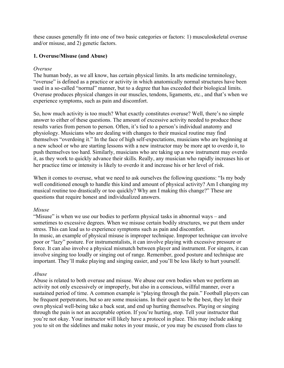these causes generally fit into one of two basic categories or factors: 1) musculoskeletal overuse and/or misuse, and 2) genetic factors.

#### **1. Overuse/Misuse (and Abuse)**

#### *Overuse*

The human body, as we all know, has certain physical limits. In arts medicine terminology, "overuse" is defined as a practice or activity in which anatomically normal structures have been used in a so-called "normal" manner, but to a degree that has exceeded their biological limits. Overuse produces physical changes in our muscles, tendons, ligaments, etc., and that's when we experience symptoms, such as pain and discomfort.

So, how much activity is too much? What exactly constitutes overuse? Well, there's no simple answer to either of these questions. The amount of excessive activity needed to produce these results varies from person to person. Often, it's tied to a person's individual anatomy and physiology. Musicians who are dealing with changes to their musical routine may find themselves "overdoing it." In the face of high self-expectations, musicians who are beginning at a new school or who are starting lessons with a new instructor may be more apt to overdo it, to push themselves too hard. Similarly, musicians who are taking up a new instrument may overdo it, as they work to quickly advance their skills. Really, any musician who rapidly increases his or her practice time or intensity is likely to overdo it and increase his or her level of risk.

When it comes to overuse, what we need to ask ourselves the following questions: "Is my body well conditioned enough to handle this kind and amount of physical activity? Am I changing my musical routine too drastically or too quickly? Why am I making this change?" These are questions that require honest and individualized answers.

#### *Misuse*

"Misuse" is when we use our bodies to perform physical tasks in abnormal ways – and sometimes to excessive degrees. When we misuse certain bodily structures, we put them under stress. This can lead us to experience symptoms such as pain and discomfort. In music, an example of physical misuse is improper technique. Improper technique can involve poor or "lazy" posture. For instrumentalists, it can involve playing with excessive pressure or force. It can also involve a physical mismatch between player and instrument. For singers, it can involve singing too loudly or singing out of range. Remember, good posture and technique are important. They'll make playing and singing easier, and you'll be less likely to hurt yourself.

#### *Abuse*

Abuse is related to both overuse and misuse. We abuse our own bodies when we perform an activity not only excessively or improperly, but also in a conscious, willful manner, over a sustained period of time. A common example is "playing through the pain." Football players can be frequent perpetrators, but so are some musicians. In their quest to be the best, they let their own physical well-being take a back seat, and end up hurting themselves. Playing or singing through the pain is not an acceptable option. If you're hurting, stop. Tell your instructor that you're not okay. Your instructor will likely have a protocol in place. This may include asking you to sit on the sidelines and make notes in your music, or you may be excused from class to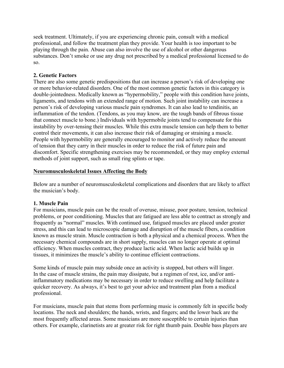seek treatment. Ultimately, if you are experiencing chronic pain, consult with a medical professional, and follow the treatment plan they provide. Your health is too important to be playing through the pain. Abuse can also involve the use of alcohol or other dangerous substances. Don't smoke or use any drug not prescribed by a medical professional licensed to do so.

#### **2. Genetic Factors**

There are also some genetic predispositions that can increase a person's risk of developing one or more behavior-related disorders. One of the most common genetic factors in this category is double-jointedness. Medically known as "hypermobility," people with this condition have joints, ligaments, and tendons with an extended range of motion. Such joint instability can increase a person's risk of developing various muscle pain syndromes. It can also lead to tendinitis, an inflammation of the tendon. (Tendons, as you may know, are the tough bands of fibrous tissue that connect muscle to bone.) Individuals with hypermobile joints tend to compensate for this instability by over-tensing their muscles. While this extra muscle tension can help them to better control their movements, it can also increase their risk of damaging or straining a muscle. People with hypermobility are generally encouraged to monitor and actively reduce the amount of tension that they carry in their muscles in order to reduce the risk of future pain and discomfort. Specific strengthening exercises may be recommended, or they may employ external methods of joint support, such as small ring splints or tape.

#### **Neuromusculoskeletal Issues Affecting the Body**

Below are a number of neuromusculoskeletal complications and disorders that are likely to affect the musician's body.

#### **1. Muscle Pain**

For musicians, muscle pain can be the result of overuse, misuse, poor posture, tension, technical problems, or poor conditioning. Muscles that are fatigued are less able to contract as strongly and frequently as "normal" muscles. With continued use, fatigued muscles are placed under greater stress, and this can lead to microscopic damage and disruption of the muscle fibers, a condition known as muscle strain. Muscle contraction is both a physical and a chemical process. When the necessary chemical compounds are in short supply, muscles can no longer operate at optimal efficiency. When muscles contract, they produce lactic acid. When lactic acid builds up in tissues, it minimizes the muscle's ability to continue efficient contractions.

Some kinds of muscle pain may subside once an activity is stopped, but others will linger. In the case of muscle strains, the pain may dissipate, but a regimen of rest, ice, and/or antiinflammatory medications may be necessary in order to reduce swelling and help facilitate a quicker recovery. As always, it's best to get your advice and treatment plan from a medical professional.

For musicians, muscle pain that stems from performing music is commonly felt in specific body locations. The neck and shoulders; the hands, wrists, and fingers; and the lower back are the most frequently affected areas. Some musicians are more susceptible to certain injuries than others. For example, clarinetists are at greater risk for right thumb pain. Double bass players are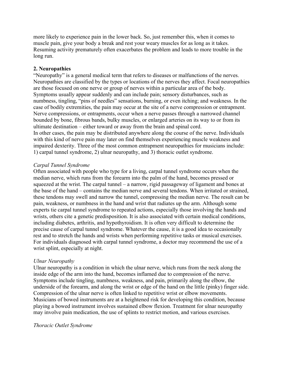more likely to experience pain in the lower back. So, just remember this, when it comes to muscle pain, give your body a break and rest your weary muscles for as long as it takes. Resuming activity prematurely often exacerbates the problem and leads to more trouble in the long run.

#### **2. Neuropathies**

"Neuropathy" is a general medical term that refers to diseases or malfunctions of the nerves. Neuropathies are classified by the types or locations of the nerves they affect. Focal neuropathies are those focused on one nerve or group of nerves within a particular area of the body. Symptoms usually appear suddenly and can include pain; sensory disturbances, such as numbness, tingling, "pins of needles" sensations, burning, or even itching; and weakness. In the case of bodily extremities, the pain may occur at the site of a nerve compression or entrapment. Nerve compressions, or entrapments, occur when a nerve passes through a narrowed channel bounded by bone, fibrous bands, bulky muscles, or enlarged arteries on its way to or from its ultimate destination – either toward or away from the brain and spinal cord. In other cases, the pain may be distributed anywhere along the course of the nerve. Individuals with this kind of nerve pain may later on find themselves experiencing muscle weakness and impaired dexterity. Three of the most common entrapment neuropathies for musicians include: 1) carpal tunnel syndrome, 2) ulnar neuropathy, and 3) thoracic outlet syndrome.

#### *Carpal Tunnel Syndrome*

 squeezed at the wrist. The carpal tunnel – a narrow, rigid passageway of ligament and bones at Often associated with people who type for a living, carpal tunnel syndrome occurs when the median nerve, which runs from the forearm into the palm of the hand, becomes pressed or the base of the hand – contains the median nerve and several tendons. When irritated or strained, these tendons may swell and narrow the tunnel, compressing the median nerve. The result can be pain, weakness, or numbness in the hand and wrist that radiates up the arm. Although some experts tie carpal tunnel syndrome to repeated actions, especially those involving the hands and wrists, others cite a genetic predisposition. It is also associated with certain medical conditions, including diabetes, arthritis, and hypothyroidism. It is often very difficult to determine the precise cause of carpal tunnel syndrome. Whatever the cause, it is a good idea to occasionally rest and to stretch the hands and wrists when performing repetitive tasks or musical exercises. For individuals diagnosed with carpal tunnel syndrome, a doctor may recommend the use of a wrist splint, especially at night.

#### *Ulnar Neuropathy*

 Ulnar neuropathy is a condition in which the ulnar nerve, which runs from the neck along the inside edge of the arm into the hand, becomes inflamed due to compression of the nerve. Symptoms include tingling, numbness, weakness, and pain, primarily along the elbow, the underside of the forearm, and along the wrist or edge of the hand on the little (pinky) finger side. Compression of the ulnar nerve is often linked to repetitive wrist or elbow movements. Musicians of bowed instruments are at a heightened risk for developing this condition, because playing a bowed instrument involves sustained elbow flexion. Treatment for ulnar neuropathy may involve pain medication, the use of splints to restrict motion, and various exercises.

#### *Thoracic Outlet Syndrome*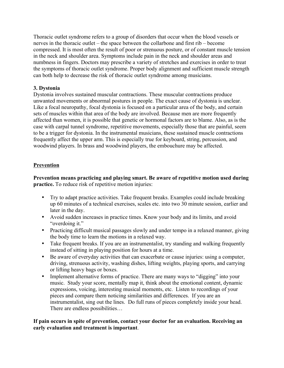nerves in the thoracic outlet – the space between the collarbone and first rib – become Thoracic outlet syndrome refers to a group of disorders that occur when the blood vessels or compressed. It is most often the result of poor or strenuous posture, or of constant muscle tension in the neck and shoulder area. Symptoms include pain in the neck and shoulder areas and numbness in fingers. Doctors may prescribe a variety of stretches and exercises in order to treat the symptoms of thoracic outlet syndrome. Proper body alignment and sufficient muscle strength can both help to decrease the risk of thoracic outlet syndrome among musicians.

#### **3. Dystonia**

Dystonia involves sustained muscular contractions. These muscular contractions produce unwanted movements or abnormal postures in people. The exact cause of dystonia is unclear. Like a focal neuropathy, focal dystonia is focused on a particular area of the body, and certain sets of muscles within that area of the body are involved. Because men are more frequently affected than women, it is possible that genetic or hormonal factors are to blame. Also, as is the case with carpal tunnel syndrome, repetitive movements, especially those that are painful, seem to be a trigger for dystonia. In the instrumental musicians, these sustained muscle contractions frequently affect the upper arm. This is especially true for keyboard, string, percussion, and woodwind players. In brass and woodwind players, the embouchure may be affected.

#### **Prevention**

 **Prevention means practicing and playing smart. Be aware of repetitive motion used during practice.** To reduce risk of repetitive motion injuries:

- Try to adapt practice activities. Take frequent breaks. Examples could include breaking up 60 minutes of a technical exercises, scales etc. into two 30 minute session, earlier and later in the day.
- "overdoing it." • Avoid sudden increases in practice times. Know your body and its limits, and avoid
- Practicing difficult musical passages slowly and under tempo in a relaxed manner, giving the body time to learn the motions in a relaxed way.
- Take frequent breaks. If you are an instrumentalist, try standing and walking frequently instead of sitting in playing position for hours at a time.
- Be aware of everyday activities that can exacerbate or cause injuries: using a computer, driving, strenuous activity, washing dishes, lifting weights, playing sports, and carrying or lifting heavy bags or boxes.
- Implement alternative forms of practice. There are many ways to "digging" into your music. Study your score, mentally map it, think about the emotional content, dynamic expressions, voicing, interesting musical moments, etc. Listen to recordings of your pieces and compare them noticing similarities and differences. If you are an instrumentalist, sing out the lines. Do full runs of pieces completely inside your head. There are endless possibilities…

#### **If pain occurs in spite of prevention, contact your doctor for an evaluation. Receiving an early evaluation and treatment is important**.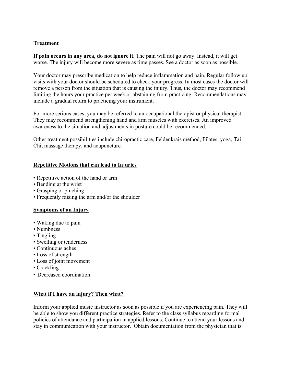#### **Treatment**

If pain occurs in any area, do not ignore it. The pain will not go away. Instead, it will get worse. The injury will become more severe as time passes. See a doctor as soon as possible.

 Your doctor may prescribe medication to help reduce inflammation and pain. Regular follow up visits with your doctor should be scheduled to check your progress. In most cases the doctor will remove a person from the situation that is causing the injury. Thus, the doctor may recommend limiting the hours your practice per week or abstaining from practicing. Recommendations may include a gradual return to practicing your instrument.

 For more serious cases, you may be referred to an occupational therapist or physical therapist. They may recommend strengthening hand and arm muscles with exercises. An improved awareness to the situation and adjustments in posture could be recommended.

 Other treatment possibilities include chiropractic care, Feldenkrais method, Pilates, yoga, Tai Chi, massage therapy, and acupuncture.

#### **Repetitive Motions that can lead to Injuries**

- Repetitive action of the hand or arm
- Bending at the wrist
- Grasping or pinching
- Frequently raising the arm and/or the shoulder

#### **Symptoms of an Injury**

- Waking due to pain
- Numbness
- Tingling
- Swelling or tenderness
- Continuous aches
- Loss of strength
- Loss of joint movement
- Crackling
- Decreased coordination

#### **What if I have an injury? Then what?**

 Inform your applied music instructor as soon as possible if you are experiencing pain. They will be able to show you different practice strategies. Refer to the class syllabus regarding formal policies of attendance and participation in applied lessons. Continue to attend your lessons and stay in communication with your instructor. Obtain documentation from the physician that is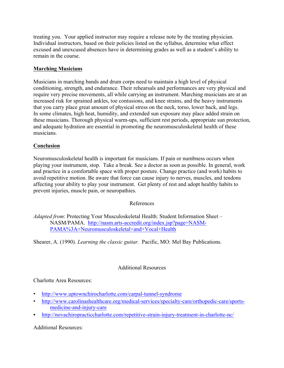treating you. Your applied instructor may require a release note by the treating physician. Individual instructors, based on their policies listed on the syllabus, determine what effect excused and unexcused absences have in determining grades as well as a student's ability to remain in the course.

#### **Marching Musicians**

Musicians in marching bands and drum corps need to maintain a high level of physical conditioning, strength, and endurance. Their rehearsals and performances are very physical and require very precise movements, all while carrying an instrument. Marching musicians are at an increased risk for sprained ankles, toe contusions, and knee strains, and the heavy instruments that you carry place great amount of physical stress on the neck, torso, lower back, and legs. In some climates, high heat, humidity, and extended sun exposure may place added strain on these musicians. Thorough physical warm-ups, sufficient rest periods, appropriate sun protection, and adequate hydration are essential in promoting the neuromusculoskeletal health of these musicians.

#### **Conclusion**

 Neuromusculoskeletal health is important for musicians. If pain or numbness occurs when playing your instrument, stop. Take a break. See a doctor as soon as possible. In general, work and practice in a comfortable space with proper posture. Change practice (and work) habits to avoid repetitive motion. Be aware that force can cause injury to nerves, muscles, and tendons affecting your ability to play your instrument. Get plenty of rest and adopt healthy habits to prevent injuries, muscle pain, or neuropathies.

#### References

 *Adapted from*: Protecting Your Musculoskeletal Health: Student Information Sheet – NASM/PAMA. http://nasm.arts-accredit.org/index.jsp?page=NASM-PAMA%3A+Neuromusculoskeletal+and+Vocal+Health

Shearer, A. (1990). *Learning the classic guitar.* Pacific, MO: Mel Bay Publications.

#### Additional Resources

#### Charlotte Area Resources:

- http://www.uptownchirocharlotte.com/carpal-tunnel-syndrome
- http://www.carolinashealthcare.org/medical-services/specialty-care/orthopedic-care/sportsmedicine-and-injury-care
- http://novachiropracticcharlotte.com/repetitive-strain-injury-treatment-in-charlotte-nc/

#### Additional Resources: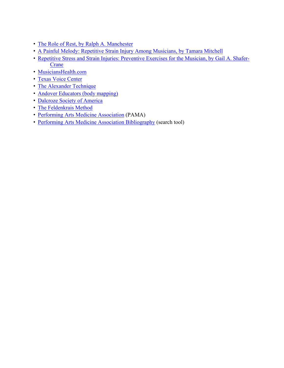- The Role of Rest, by Ralph A. Manchester
- A Painful Melody: Repetitive Strain Injury Among Musicians, by Tamara Mitchell
- • Repetitive Stress and Strain Injuries: Preventive Exercises for the Musician, by Gail A. Shafer-Crane
- MusiciansHealth.com
- Texas Voice Center
- The Alexander Technique
- Andover Educators (body mapping)
- Dalcroze Society of America
- The Feldenkrais Method
- Performing Arts Medicine Association (PAMA)
- Performing Arts Medicine Association Bibliography (search tool)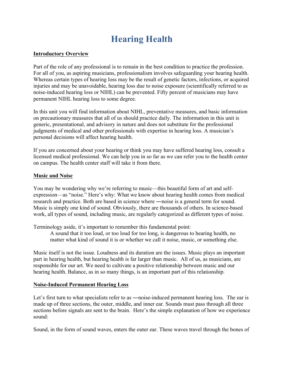### **Hearing Health**

#### **Introductory Overview**

Part of the role of any professional is to remain in the best condition to practice the profession. For all of you, as aspiring musicians, professionalism involves safeguarding your hearing health. Whereas certain types of hearing loss may be the result of genetic factors, infections, or acquired injuries and may be unavoidable, hearing loss due to noise exposure (scientifically referred to as noise-induced hearing loss or NIHL) can be prevented. Fifty percent of musicians may have permanent NIHL hearing loss to some degree.

In this unit you will find information about NIHL, preventative measures, and basic information on precautionary measures that all of us should practice daily. The information in this unit is generic, presentational, and advisory in nature and does not substitute for the professional judgments of medical and other professionals with expertise in hearing loss. A musician's personal decisions will affect hearing health.

If you are concerned about your hearing or think you may have suffered hearing loss, consult a licensed medical professional. We can help you in so far as we can refer you to the health center on campus. The health center staff will take it from there.

#### **Music and Noise**

You may be wondering why we're referring to music—this beautiful form of art and selfexpression—as "noise." Here's why: What we know about hearing health comes from medical research and practice. Both are based in science where ―noise is a general term for sound. Music is simply one kind of sound. Obviously, there are thousands of others. In science-based work, all types of sound, including music, are regularly categorized as different types of noise.

Terminology aside, it's important to remember this fundamental point:

A sound that it too loud, or too loud for too long, is dangerous to hearing health, no matter what kind of sound it is or whether we call it noise, music, or something else.

Music itself is not the issue. Loudness and its duration are the issues. Music plays an important part in hearing health, but hearing health is far larger than music. All of us, as musicians, are responsible for our art. We need to cultivate a positive relationship between music and our hearing health. Balance, as in so many things, is an important part of this relationship.

#### **Noise-Induced Permanent Hearing Loss**

sound<sup>-</sup> Let's first turn to what specialists refer to as —noise-induced permanent hearing loss. The ear is made up of three sections, the outer, middle, and inner ear. Sounds must pass through all three sections before signals are sent to the brain. Here's the simple explanation of how we experience

Sound, in the form of sound waves, enters the outer ear. These waves travel through the bones of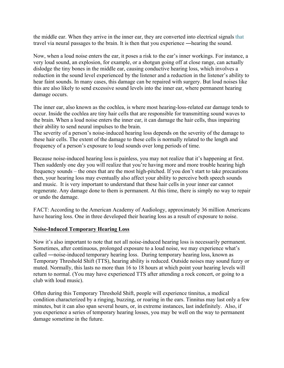the middle ear. When they arrive in the inner ear, they are converted into electrical signals that travel via neural passages to the brain. It is then that you experience ―hearing the sound.

Now, when a loud noise enters the ear, it poses a risk to the ear's inner workings. For instance, a very loud sound, an explosion, for example, or a shotgun going off at close range, can actually dislodge the tiny bones in the middle ear, causing conductive hearing loss, which involves a reduction in the sound level experienced by the listener and a reduction in the listener's ability to hear faint sounds. In many cases, this damage can be repaired with surgery. But loud noises like this are also likely to send excessive sound levels into the inner ear, where permanent hearing damage occurs.

The inner ear, also known as the cochlea, is where most hearing-loss-related ear damage tends to occur. Inside the cochlea are tiny hair cells that are responsible for transmitting sound waves to the brain. When a loud noise enters the inner ear, it can damage the hair cells, thus impairing their ability to send neural impulses to the brain.

The severity of a person's noise-induced hearing loss depends on the severity of the damage to these hair cells. The extent of the damage to these cells is normally related to the length and frequency of a person's exposure to loud sounds over long periods of time.

 frequency sounds – the ones that are the most high-pitched. If you don't start to take precautions Because noise-induced hearing loss is painless, you may not realize that it's happening at first. Then suddenly one day you will realize that you're having more and more trouble hearing high then, your hearing loss may eventually also affect your ability to perceive both speech sounds and music. It is very important to understand that these hair cells in your inner ear cannot regenerate. Any damage done to them is permanent. At this time, there is simply no way to repair or undo the damage.

FACT: According to the American Academy of Audiology, approximately 36 million Americans have hearing loss. One in three developed their hearing loss as a result of exposure to noise.

#### **Noise-Induced Temporary Hearing Loss**

Now it's also important to note that not all noise-induced hearing loss is necessarily permanent. Sometimes, after continuous, prolonged exposure to a loud noise, we may experience what's called ―noise-induced temporary hearing loss. During temporary hearing loss, known as Temporary Threshold Shift (TTS), hearing ability is reduced. Outside noises may sound fuzzy or muted. Normally, this lasts no more than 16 to 18 hours at which point your hearing levels will return to normal. (You may have experienced TTS after attending a rock concert, or going to a club with loud music).

Often during this Temporary Threshold Shift, people will experience tinnitus, a medical condition characterized by a ringing, buzzing, or roaring in the ears. Tinnitus may last only a few minutes, but it can also span several hours, or, in extreme instances, last indefinitely. Also, if you experience a series of temporary hearing losses, you may be well on the way to permanent damage sometime in the future.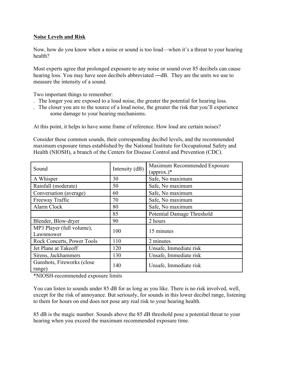#### **Noise Levels and Risk**

Now, how do you know when a noise or sound is too loud—when it's a threat to your hearing health?

Most experts agree that prolonged exposure to any noise or sound over 85 decibels can cause hearing loss. You may have seen decibels abbreviated —dB. They are the units we use to measure the intensity of a sound.

Two important things to remember:

- . The longer you are exposed to a loud noise, the greater the potential for hearing loss.
- . The closer you are to the source of a loud noise, the greater the risk that you'll experience some damage to your hearing mechanisms.

At this point, it helps to have some frame of reference. How loud are certain noises?

Consider these common sounds, their corresponding decibel levels, and the recommended maximum exposure times established by the National Institute for Occupational Safety and Health (NIOSH), a branch of the Centers for Disease Control and Prevention (CDC).

| Sound                                  | Intensity (dB) | Maximum Recommended Exposure<br>$(\text{approx.})^*$ |
|----------------------------------------|----------------|------------------------------------------------------|
| A Whisper                              | 30             | Safe, No maximum                                     |
| Rainfall (moderate)                    | 50             | Safe, No maximum                                     |
| Conversation (average)                 | 60             | Safe, No maximum                                     |
| Freeway Traffic                        | 70             | Safe, No maximum                                     |
| Alarm Clock                            | 80             | Safe, No maximum                                     |
|                                        | 85             | Potential Damage Threshold                           |
| Blender, Blow-dryer                    | 90             | 2 hours                                              |
| MP3 Player (full volume),<br>Lawnmower | 100            | 15 minutes                                           |
| Rock Concerts, Power Tools             | 110            | 2 minutes                                            |
| Jet Plane at Takeoff                   | 120            | Unsafe, Immediate risk                               |
| Sirens, Jackhammers                    | 130            | Unsafe, Immediate risk                               |
| Gunshots, Fireworks (close)<br>range)  | 140            | Unsafe, Immediate risk                               |

\*NIOSH-recommended exposure limits

You can listen to sounds under 85 dB for as long as you like. There is no risk involved, well, except for the risk of annoyance. But seriously, for sounds in this lower decibel range, listening to them for hours on end does not pose any real risk to your hearing health.

85 dB is the magic number. Sounds above the 85 dB threshold pose a potential threat to your hearing when you exceed the maximum recommended exposure time.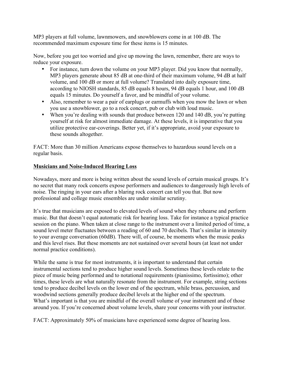MP3 players at full volume, lawnmowers, and snowblowers come in at 100 dB. The recommended maximum exposure time for these items is 15 minutes.

Now, before you get too worried and give up mowing the lawn, remember, there are ways to reduce your exposure.

- For instance, turn down the volume on your MP3 player. Did you know that normally, MP3 players generate about 85 dB at one-third of their maximum volume, 94 dB at half volume, and 100 dB or more at full volume? Translated into daily exposure time, according to NIOSH standards, 85 dB equals 8 hours, 94 dB equals 1 hour, and 100 dB equals 15 minutes. Do yourself a favor, and be mindful of your volume.
- Also, remember to wear a pair of earplugs or earmuffs when you mow the lawn or when you use a snowblower, go to a rock concert, pub or club with loud music.
- these sounds altogether. • When you're dealing with sounds that produce between 120 and 140 dB, you're putting yourself at risk for almost immediate damage. At these levels, it is imperative that you utilize protective ear-coverings. Better yet, if it's appropriate, avoid your exposure to

FACT: More than 30 million Americans expose themselves to hazardous sound levels on a regular basis.

#### **Musicians and Noise-Induced Hearing Loss**

Nowadays, more and more is being written about the sound levels of certain musical groups. It's no secret that many rock concerts expose performers and audiences to dangerously high levels of noise. The ringing in your ears after a blaring rock concert can tell you that. But now professional and college music ensembles are under similar scrutiny.

It's true that musicians are exposed to elevated levels of sound when they rehearse and perform music. But that doesn't equal automatic risk for hearing loss. Take for instance a typical practice session on the piano. When taken at close range to the instrument over a limited period of time, a sound level meter fluctuates between a reading of 60 and 70 decibels. That's similar in intensity to your average conversation (60dB). There will, of course, be moments when the music peaks and this level rises. But these moments are not sustained over several hours (at least not under normal practice conditions).

While the same is true for most instruments, it is important to understand that certain instrumental sections tend to produce higher sound levels. Sometimes these levels relate to the piece of music being performed and to notational requirements (pianissimo, fortissimo); other times, these levels are what naturally resonate from the instrument. For example, string sections tend to produce decibel levels on the lower end of the spectrum, while brass, percussion, and woodwind sections generally produce decibel levels at the higher end of the spectrum. What's important is that you are mindful of the overall volume of your instrument and of those around you. If you're concerned about volume levels, share your concerns with your instructor.

FACT: Approximately 50% of musicians have experienced some degree of hearing loss.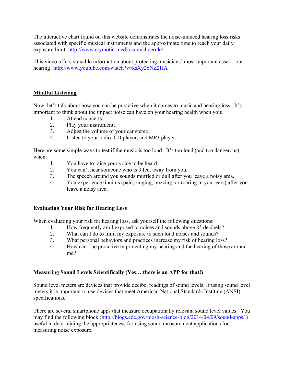The interactive chart found on this website demonstrates the noise-induced hearing loss risks associated with specific musical instruments and the approximate time to reach your daily exposure limit: http://www.etymotic-media.com/sliderule/

 This video offers valuable information about protecting musicians' most important asset – our hearing! http://www.youtube.com/watch?v=ksXy26NZ2HA

#### **Mindful Listening**

important to think about the impact noise can have on your hearing health when you:<br>
1. Attend concerts;<br>
2. Play your instrument;<br>
3. Adjust the volume of your car stereo;<br>
4. Listen to your radio, CD player, and MP3 play Now, let's talk about how you can be proactive when it comes to music and hearing loss. It's

- Attend concerts:
- Play your instrument;
- 
- Adjust the volume of your car stereo;<br>Listen to your radio, CD player, and MP3 player.

when<sup>-</sup> Here are some simple ways to test if the music is too loud. It's too loud (and too dangerous)

- 1. You have to raise your voice to be heard.
- 2. You can't hear someone who is 3 feet away from you.
- 3. The speech around you sounds muffled or dull after you leave a noisy area.
- 4. You experience tinnitus (pain, ringing, buzzing, or roaring in your ears) after you leave a noisy area.

#### **Evaluating Your Risk for Hearing Loss**

When evaluating your risk for hearing loss, ask yourself the following questions:

- How frequently am I exposed to noises and sounds above 85 decibels?
- What can I do to limit my exposure to such loud noises and sounds?
- What personal behaviors and practices increase my risk of hearing loss? 1. How frequently am I exposed to noises and sounds above 85 decibels?<br>
2. What can I do to limit my exposure to such loud noises and sounds?<br>
3. What personal behaviors and practices increase my risk of hearing loss?<br>
4.
- me?

#### **Measuring Sound Levels Scientifically (Yes… there is an APP for that!)**

Sound level meters are devices that provide decibel readings of sound levels. If using sound level meters it is important to use devices that meet American National Standards Institute (ANSI) specifications.

There are several smartphone apps that measure occupationally relevant sound level values. You may find the following block (http://blogs.cdc.gov/niosh-science-blog/2014/04/09/sound-apps/) useful in determining the appropriateness for using sound measurement applications for measuring noise exposure.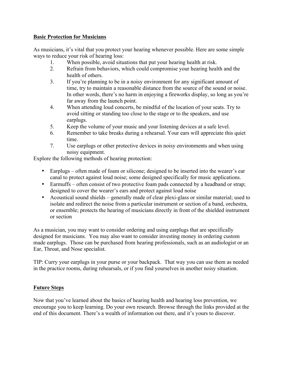#### **Basic Protection for Musicians**

ways to reduce your risk of hearing loss: As musicians, it's vital that you protect your hearing whenever possible. Here are some simple

- 1. When possible, avoid situations that put your hearing health at risk.
- 2. Refrain from behaviors, which could compromise your hearing health and the health of others.
- 3. If you're planning to be in a noisy environment for any significant amount of time, try to maintain a reasonable distance from the source of the sound or noise. In other words, there's no harm in enjoying a fireworks display, so long as you're far away from the launch point.
- 4. When attending loud concerts, be mindful of the location of your seats. Try to avoid sitting or standing too close to the stage or to the speakers, and use earplugs.
- 5. Keep the volume of your music and your listening devices at a safe level.
- 6. Remember to take breaks during a rehearsal. Your ears will appreciate this quiet time.
- 7. Use earplugs or other protective devices in noisy environments and when using noisy equipment.

Explore the following methods of hearing protection:

- • Earplugs often made of foam or silicone; designed to be inserted into the wearer's ear canal to protect against loud noise; some designed specifically for music applications.
- • Earmuffs often consist of two protective foam pads connected by a headband or strap; designed to cover the wearer's ears and protect against loud noise
- • Acoustical sound shields generally made of clear plexi-glass or similar material; used to isolate and redirect the noise from a particular instrument or section of a band, orchestra, or ensemble; protects the hearing of musicians directly in front of the shielded instrument or section

As a musician, you may want to consider ordering and using earplugs that are specifically designed for musicians. You may also want to consider investing money in ordering custom made earplugs. Those can be purchased from hearing professionals, such as an audiologist or an Ear, Throat, and Nose specialist.

TIP: Curry your earplugs in your purse or your backpack. That way you can use them as needed in the practice rooms, during rehearsals, or if you find yourselves in another noisy situation.

#### **Future Steps**

Now that you've learned about the basics of hearing health and hearing loss prevention, we encourage you to keep learning. Do your own research. Browse through the links provided at the end of this document. There's a wealth of information out there, and it's yours to discover.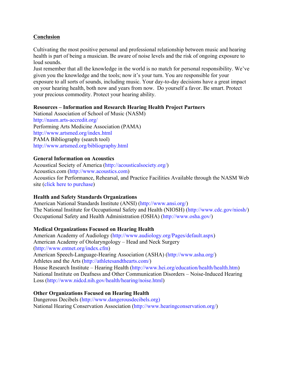#### **Conclusion**

Cultivating the most positive personal and professional relationship between music and hearing health is part of being a musician. Be aware of noise levels and the risk of ongoing exposure to loud sounds.

Just remember that all the knowledge in the world is no match for personal responsibility. We've given you the knowledge and the tools; now it's your turn. You are responsible for your exposure to all sorts of sounds, including music. Your day-to-day decisions have a great impact on your hearing health, both now and years from now. Do yourself a favor. Be smart. Protect your precious commodity. Protect your hearing ability.

#### **Resources – Information and Research Hearing Health Project Partners**

National Association of School of Music (NASM) http://nasm.arts-accredit.org/ Performing Arts Medicine Association (PAMA) http://www.artsmed.org/index.html PAMA Bibliography (search tool) http://www.artsmed.org/bibliography.html

#### **General Information on Acoustics**

Acoustical Society of America (http://acousticalsociety.org/) Acoustics.com (http://www.acoustics.com) Acoustics for Performance, Rehearsal, and Practice Facilities Available through the NASM Web site (click here to purchase)

#### **Health and Safety Standards Organizations**

American National Standards Institute (ANSI) (http://www.ansi.org/) The National Institute for Occupational Safety and Health (NIOSH) (http://www.cdc.gov/niosh/) Occupational Safety and Health Administration (OSHA) (http://www.osha.gov/)

#### **Medical Organizations Focused on Hearing Health**

 House Research Institute – Hearing Health (http://www.hei.org/education/health/health.htm) National Institute on Deafness and Other Communication Disorders – Noise-Induced Hearing American Academy of Audiology (http://www.audiology.org/Pages/default.aspx) American Academy of Otolaryngology – Head and Neck Surgery (http://www.entnet.org/index.cfm) American Speech-Language-Hearing Association (ASHA) (http://www.asha.org/) Athletes and the Arts (http://athletesandthearts.com/) Loss (http://www.nidcd.nih.gov/health/hearing/noise.html)

#### **Other Organizations Focused on Hearing Health**

Dangerous Decibels (http://www.dangerousdecibels.org) National Hearing Conservation Association (http://www.hearingconservation.org/)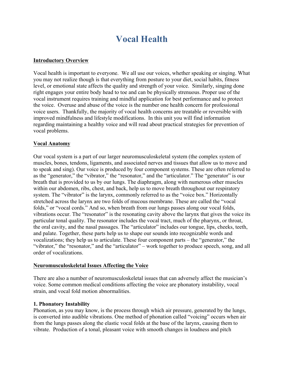### **Vocal Health**

#### **Introductory Overview**

Vocal health is important to everyone. We all use our voices, whether speaking or singing. What you may not realize though is that everything from posture to your diet, social habits, fitness level, or emotional state affects the quality and strength of your voice. Similarly, singing done right engages your entire body head to toe and can be physically strenuous. Proper use of the vocal instrument requires training and mindful application for best performance and to protect the voice. Overuse and abuse of the voice is the number one health concern for professional voice users. Thankfully, the majority of vocal health concerns are treatable or reversible with improved mindfulness and lifestyle modifications. In this unit you will find information regarding maintaining a healthy voice and will read about practical strategies for prevention of vocal problems.

#### **Vocal Anatomy**

 vocalizations; they help us to articulate. These four component parts – the "generator," the "vibrator," the "resonator," and the "articulator" – work together to produce speech, song, and all Our vocal system is a part of our larger neuromusculoskeletal system (the complex system of muscles, bones, tendons, ligaments, and associated nerves and tissues that allow us to move and to speak and sing). Our voice is produced by four component systems. These are often referred to as the "generator," the "vibrator," the "resonator," and the "articulator." The "generator" is our breath that is provided to us by our lungs. The diaphragm, along with numerous other muscles within our abdomen, ribs, chest, and back, help us to move breath throughout our respiratory system. The "vibrator" is the larynx, commonly referred to as the "voice box." Horizontally stretched across the larynx are two folds of mucous membrane. These are called the "vocal folds," or "vocal cords." And so, when breath from our lungs passes along our vocal folds, vibrations occur. The "resonator" is the resonating cavity above the larynx that gives the voice its particular tonal quality. The resonator includes the vocal tract, much of the pharynx, or throat, the oral cavity, and the nasal passages. The "articulator" includes our tongue, lips, cheeks, teeth, and palate. Together, these parts help us to shape our sounds into recognizable words and order of vocalizations.

#### **Neuromusculoskeletal Issues Affecting the Voice**

There are also a number of neuromusculoskeletal issues that can adversely affect the musician's voice. Some common medical conditions affecting the voice are phonatory instability, vocal strain, and vocal fold motion abnormalities.

#### **1. Phonatory Instability**

Phonation, as you may know, is the process through which air pressure, generated by the lungs, is converted into audible vibrations. One method of phonation called "voicing" occurs when air from the lungs passes along the elastic vocal folds at the base of the larynx, causing them to vibrate. Production of a tonal, pleasant voice with smooth changes in loudness and pitch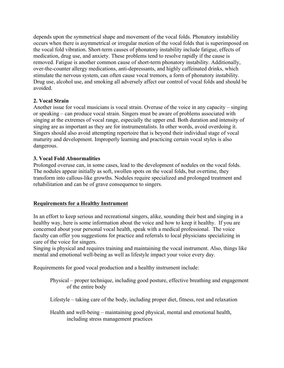depends upon the symmetrical shape and movement of the vocal folds. Phonatory instability occurs when there is asymmetrical or irregular motion of the vocal folds that is superimposed on the vocal fold vibration. Short-term causes of phonatory instability include fatigue, effects of medication, drug use, and anxiety. These problems tend to resolve rapidly if the cause is removed. Fatigue is another common cause of short-term phonatory instability. Additionally, over-the-counter allergy medications, anti-depressants, and highly caffeinated drinks, which stimulate the nervous system, can often cause vocal tremors, a form of phonatory instability. Drug use, alcohol use, and smoking all adversely affect our control of vocal folds and should be avoided.

#### **2. Vocal Strain**

Another issue for vocal musicians is vocal strain. Overuse of the voice in any capacity – singing or speaking – can produce vocal strain. Singers must be aware of problems associated with singing at the extremes of vocal range, especially the upper end. Both duration and intensity of singing are as important as they are for instrumentalists. In other words, avoid overdoing it. Singers should also avoid attempting repertoire that is beyond their individual stage of vocal maturity and development. Improperly learning and practicing certain vocal styles is also dangerous.

#### **3. Vocal Fold Abnormalities**

Prolonged overuse can, in some cases, lead to the development of nodules on the vocal folds. The nodules appear initially as soft, swollen spots on the vocal folds, but overtime, they transform into callous-like growths. Nodules require specialized and prolonged treatment and rehabilitation and can be of grave consequence to singers.

#### **Requirements for a Healthy Instrument**

In an effort to keep serious and recreational singers, alike, sounding their best and singing in a healthy way, here is some information about the voice and how to keep it healthy. If you are concerned about your personal vocal health, speak with a medical professional. The voice faculty can offer you suggestions for practice and referrals to local physicians specializing in care of the voice for singers.

Singing is physical and requires training and maintaining the vocal instrument. Also, things like mental and emotional well-being as well as lifestyle impact your voice every day.

Requirements for good vocal production and a healthy instrument include:

 Physical – proper technique, including good posture, effective breathing and engagement of the entire body

Lifestyle – taking care of the body, including proper diet, fitness, rest and relaxation

Health and well-being – maintaining good physical, mental and emotional health, including stress management practices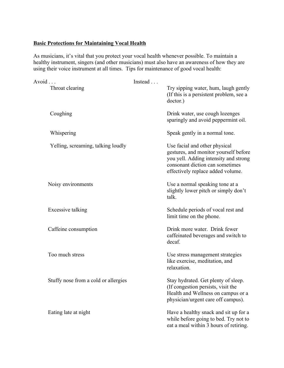#### **Basic Protections for Maintaining Vocal Health**

As musicians, it's vital that you protect your vocal health whenever possible. To maintain a healthy instrument, singers (and other musicians) must also have an awareness of how they are using their voice instrument at all times. Tips for maintenance of good vocal health:

| Avoid                                | Instead                                                                                                                                                                                 |
|--------------------------------------|-----------------------------------------------------------------------------------------------------------------------------------------------------------------------------------------|
| Throat clearing                      | Try sipping water, hum, laugh gently<br>(If this is a persistent problem, see a<br>doctor.)                                                                                             |
| Coughing                             | Drink water, use cough lozenges<br>sparingly and avoid peppermint oil.                                                                                                                  |
| Whispering                           | Speak gently in a normal tone.                                                                                                                                                          |
| Yelling, screaming, talking loudly   | Use facial and other physical<br>gestures, and monitor yourself before<br>you yell. Adding intensity and strong<br>consonant diction can sometimes<br>effectively replace added volume. |
| Noisy environments                   | Use a normal speaking tone at a<br>slightly lower pitch or simply don't<br>talk.                                                                                                        |
| Excessive talking                    | Schedule periods of vocal rest and<br>limit time on the phone.                                                                                                                          |
| Caffeine consumption                 | Drink more water. Drink fewer<br>caffeinated beverages and switch to<br>decaf.                                                                                                          |
| Too much stress                      | Use stress management strategies<br>like exercise, meditation, and<br>relaxation.                                                                                                       |
| Stuffy nose from a cold or allergies | Stay hydrated. Get plenty of sleep.<br>(If congestion persists, visit the<br>Health and Wellness on campus or a<br>physician/urgent care off campus).                                   |
| Eating late at night                 | Have a healthy snack and sit up for a<br>while before going to bed. Try not to<br>eat a meal within 3 hours of retiring.                                                                |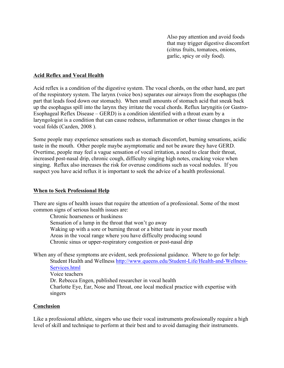Also pay attention and avoid foods that may trigger digestive discomfort (citrus fruits, tomatoes, onions, garlic, spicy or oily food).

#### **Acid Reflex and Vocal Health**

 Esophageal Reflex Disease – GERD) is a condition identified with a throat exam by a vocal folds (Cazden, 2008 ). Acid reflex is a condition of the digestive system. The vocal chords, on the other hand, are part of the respiratory system. The larynx (voice box) separates our airways from the esophagus (the part that leads food down our stomach). When small amounts of stomach acid that sneak back up the esophagus spill into the larynx they irritate the vocal chords. Reflux laryngitis (or Gastrolaryngologist is a condition that can cause redness, inflammation or other tissue changes in the

Some people may experience sensations such as stomach discomfort, burning sensations, acidic taste in the mouth. Other people maybe asymptomatic and not be aware they have GERD. Overtime, people may feel a vague sensation of vocal irritation, a need to clear their throat, increased post-nasal drip, chronic cough, difficulty singing high notes, cracking voice when singing. Reflux also increases the risk for overuse conditions such as vocal nodules. If you suspect you have acid reflux it is important to seek the advice of a health professional.

#### **When to Seek Professional Help**

There are signs of health issues that require the attention of a professional. Some of the most common signs of serious health issues are:

Chronic hoarseness or huskiness Sensation of a lump in the throat that won't go away Waking up with a sore or burning throat or a bitter taste in your mouth Areas in the vocal range where you have difficulty producing sound Chronic sinus or upper-respiratory congestion or post-nasal drip

When any of these symptoms are evident, seek professional guidance. Where to go for help: Student Health and Wellness http://www.queens.edu/Student-Life/Health-and-Wellness-Services.html Voice teachers Dr. Rebecca Engen, published researcher in vocal health Charlotte Eye, Ear, Nose and Throat, one local medical practice with expertise with singers

#### **Conclusion**

Like a professional athlete, singers who use their vocal instruments professionally require a high level of skill and technique to perform at their best and to avoid damaging their instruments.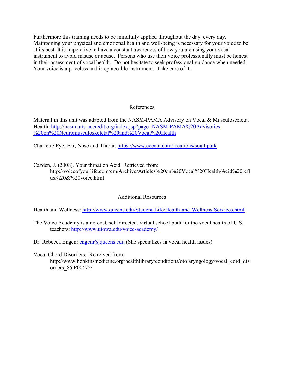Furthermore this training needs to be mindfully applied throughout the day, every day. Maintaining your physical and emotional health and well-being is necessary for your voice to be at its best. It is imperative to have a constant awareness of how you are using your vocal instrument to avoid misuse or abuse. Persons who use their voice professionally must be honest in their assessment of vocal health. Do not hesitate to seek professional guidance when needed. Your voice is a priceless and irreplaceable instrument. Take care of it.

#### References

 Health: http://nasm.arts-accredit.org/index.jsp?page=NASM-PAMA%20Advisories %20on%20Neuromusculoskeletal%20and%20Vocal%20Health Material in this unit was adapted from the NASM-PAMA Advisory on Vocal & Musculosceletal

Charlotte Eye, Ear, Nose and Throat: https://www.ceenta.com/locations/southpark

Cazden, J. (2008). Your throat on Acid. Retrieved from:

http://voiceofyourlife.com/cm/Archive/Articles%20on%20Vocal%20Health/Acid%20refl ux%20&%20voice.html

#### Additional Resources

Health and Wellness: http://www.queens.edu/Student-Life/Health-and-Wellness-Services.html

teachers: http://www.uiowa.edu/voice-academy/ The Voice Academy is a no-cost, self-directed, virtual school built for the vocal health of U.S.

Dr. Rebecca Engen:  $\frac{\text{engenr}(Q)$ queens.edu (She specializes in vocal health issues).

Vocal Chord Disorders. Retreived from:

http://www.hopkinsmedicine.org/healthlibrary/conditions/otolaryngology/vocal\_cord\_dis orders\_85,P00475/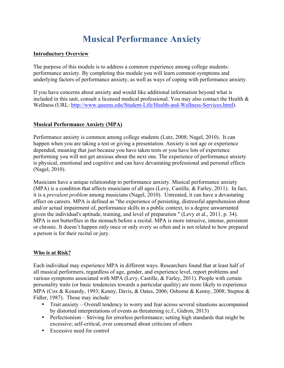### **Musical Performance Anxiety**

#### **Introductory Overview**

The purpose of this module is to address a common experience among college students: performance anxiety. By completing this module you will learn common symptoms and underlying factors of performance anxiety, as well as ways of coping with performance anxiety.

If you have concerns about anxiety and would like additional information beyond what is included in this unit, consult a licensed medical professional. You may also contact the Health & Wellness (URL: http://www.queens.edu/Student-Life/Health-and-Wellness-Services.html).

#### **Musical Performance Anxiety (MPA)**

Performance anxiety is common among college students (Lutz, 2008; Nagel, 2010). It can happen when you are taking a test or giving a presentation. Anxiety is not age or experience depended, meaning that just because you have taken tests or you have lots of experience performing you will not get anxious about the next one. The experience of performance anxiety is physical, emotional and cognitive and can have devastating professional and personal effects (Nagel, 2010).

Musicians have a unique relationship to performance anxiety. Musical performance anxiety (MPA) is a condition that affects musicians of all ages (Levy, Castille, & Farley, 2011). In fact, it is a *prevalent problem* among musicians (Nagel, 2010). Untreated, it can have a devastating effect on careers. MPA is defined as "the experience of persisting, distressful apprehension about and/or actual impairment of, performance skills in a public context, to a degree unwarranted given the individual's aptitude, training, and level of preparation " (Levy et al., 2011, p. 34). MPA is not butterflies in the stomach before a recital. MPA is more intrusive, intense, persistent or chronic. It doesn't happen only once or only every so often and is not related to how prepared a person is for their recital or jury.

#### **Who is at Risk?**

Each individual may experience MPA in different ways. Researchers found that at least half of all musical performers, regardless of age, gender, and experience level, report problems and various symptoms associated with MPA (Levy, Castille, & Farley, 2011). People with certain personality traits (or basic tendencies towards a particular quality) are more likely to experience MPA (Cox & Kenardy, 1993; Kenny, Davis, & Oates, 2006; Osborne & Kenny, 2008; Steptoe & Fidler, 1987). Those may include:

- Trait anxiety Overall tendency to worry and fear across several situations accompanied by distorted interpretations of events as threatening (c.f., Gidron, 2013)
- • Perfectionism Striving for errorless performance; setting high standards that might be excessive; self-critical, over concerned about criticism of others
- Excessive need for control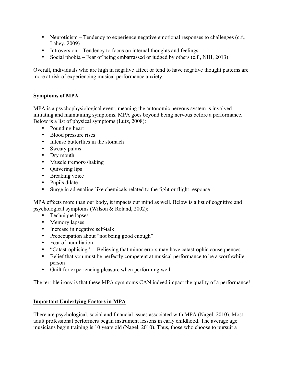- Neuroticism Tendency to experience negative emotional responses to challenges (c.f., Lahey, 2009)
- Introversion Tendency to focus on internal thoughts and feelings
- Social phobia Fear of being embarrassed or judged by others (c.f., NIH, 2013)

Overall, individuals who are high in negative affect or tend to have negative thought patterns are more at risk of experiencing musical performance anxiety.

#### **Symptoms of MPA**

MPA is a psychophysiological event, meaning the autonomic nervous system is involved initiating and maintaining symptoms. MPA goes beyond being nervous before a performance. Below is a list of physical symptoms (Lutz, 2008):

- Pounding heart
- Blood pressure rises
- Intense butterflies in the stomach
- Sweaty palms
- Dry mouth
- Muscle tremors/shaking
- Quivering lips
- Breaking voice
- Pupils dilate
- Surge in adrenaline-like chemicals related to the fight or flight response

MPA effects more than our body, it impacts our mind as well. Below is a list of cognitive and psychological symptoms (Wilson & Roland, 2002):

- Technique lapses
- Memory lapses
- Increase in negative self-talk
- Preoccupation about "not being good enough"
- Fear of humiliation
- "Catastrophising" Believing that minor errors may have catastrophic consequences
- Belief that you must be perfectly competent at musical performance to be a worthwhile person
- Guilt for experiencing pleasure when performing well

The terrible irony is that these MPA symptoms CAN indeed impact the quality of a performance!

#### **Important Underlying Factors in MPA**

There are psychological, social and financial issues associated with MPA (Nagel, 2010). Most adult professional performers began instrument lessons in early childhood. The average age musicians begin training is 10 years old (Nagel, 2010). Thus, those who choose to pursuit a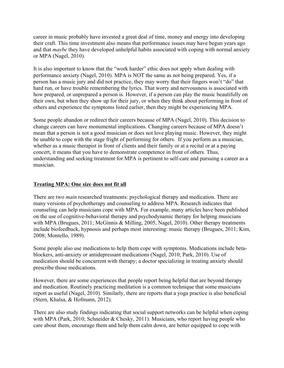and that *maybe* they have developed unhelpful habits associated with coping with normal anxiety career in music probably have invested a great deal of time, money and energy into developing their craft. This time investment also means that performance issues may have begun years ago or MPA (Nagel, 2010).

It is also important to know that the "work harder" ethic does not apply when dealing with performance anxiety (Nagel, 2010). MPA is NOT the same as not being prepared. Yes, if a person has a music jury and did not practice, they may worry that their fingers won't "do" that hard run, or have trouble remembering the lyrics. That worry and nervousness is associated with how prepared, or unprepared a person is. However, if a person can play the music beautifully on their own, but when they show up for their jury, or when they think about performing in front of others and experience the symptoms listed earlier, then they might be experiencing MPA.

Some people abandon or redirect their careers because of MPA (Nagel, 2010). This decision to change careers can have monumental implications. Changing careers because of MPA doesn't mean that a person is not a good musician or does not love playing music. However, they might be unable to cope with the stage fright of performing for others. If you perform as a musician, whether as a music therapist in front of clients and their family or at a recital or at a paying concert, it means that you have to demonstrate competence in front of others. Thus, understanding and seeking treatment for MPA is pertinent to self-care and pursuing a career as a musician.

#### **Treating MPA: One size does not fit all**

There are two *main* researched treatments: psychological therapy and medication. There are many versions of psychotherapy and counseling to address MPA. Research indicates that counseling can help musicians cope with MPA. For example, many articles have been published on the use of cognitive-behavioral therapy and psychodynamic therapy for helping musicians with MPA (Brugues, 2011; McGinnis & Milling, 2005, Nagel, 2010). Other therapy treatments include biofeedback, hypnosis and perhaps most interesting: music therapy (Brugues, 2011; Kim, 2008; Montello, 1989).

Some people also use medications to help them cope with symptoms. Medications include betablockers, anti-anxiety or antidepressant medications (Nagel, 2010; Park, 2010). Use of medication should be concurrent with therapy; a doctor specializing in treating anxiety should prescribe those medications.

However, there are some experiences that people report being helpful that are beyond therapy and medication. Routinely practicing meditation is a common technique that some musicians report as useful (Nagel, 2010). Similarly, there are reports that a yoga practice is also beneficial (Stern, Khalsa, & Hofmann, 2012).

There are also study findings indicating that social support networks can be helpful when coping with MPA (Park, 2010; Schneider & Chesky, 2011). Musicians, who report having people who care about them, encourage them and help them calm down, are better equipped to cope with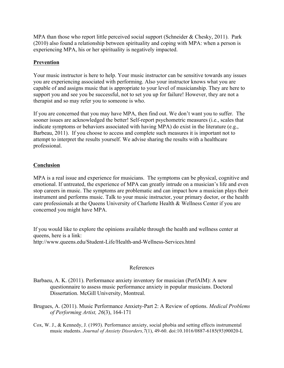MPA than those who report little perceived social support (Schneider  $&$  Chesky, 2011). Park (2010) also found a relationship between spirituality and coping with MPA: when a person is experiencing MPA, his or her spirituality is negatively impacted.

#### **Prevention**

Your music instructor is here to help. Your music instructor can be sensitive towards any issues you are experiencing associated with performing. Also your instructor knows what you are capable of and assigns music that is appropriate to your level of musicianship. They are here to support you and see you be successful, not to set you up for failure! However, they are not a therapist and so may refer you to someone is who.

If you are concerned that you may have MPA, then find out. We don't want you to suffer. The sooner issues are acknowledged the better! Self-report psychometric measures (i.e., scales that indicate symptoms or behaviors associated with having MPA) do exist in the literature (e.g., Barbeau, 2011). If you choose to access and complete such measures it is important not to attempt to interpret the results yourself. We advise sharing the results with a healthcare professional.

#### **Conclusion**

MPA is a real issue and experience for musicians. The symptoms can be physical, cognitive and emotional. If untreated, the experience of MPA can greatly intrude on a musician's life and even stop careers in music. The symptoms are problematic and can impact how a musician plays their instrument and performs music. Talk to your music instructor, your primary doctor, or the health care professionals at the Queens University of Charlotte Health & Wellness Center if you are concerned you might have MPA.

If you would like to explore the opinions available through the health and wellness center at queens, here is a link: http://www.queens.edu/Student-Life/Health-and-Wellness-Services.html

#### References

- Barbaeu, A. K. (2011). Performance anxiety inventory for musician (PerfAIM): A new questionnaire to assess music performance anxiety in popular musicians. Doctoral Dissertation. McGill University, Montreal.
- Brugues, A. (2011). Music Performance Anxiety-Part 2: A Review of options. *Medical Problems of Performing Artist, 26*(3), 164-171
- Cox, W. J., & Kennedy, J. (1993). Performance anxiety, social phobia and setting effects instrumental music students. *Journal of Anxiety Disorders,7*(1), 49-60. doi:10.1016/0887-6185(93)90020-L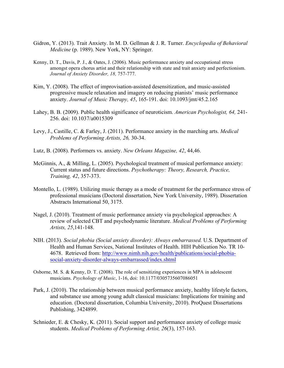- Gidron, Y. (2013). Trait Anxiety. In M. D. Gellman & J. R. Turner. *Encyclopedia of Behavioral Medicine* (p. 1989). New York, NY: Springer.
- Kenny, D. T., Davis, P. J., & Oates, J. (2006). Music performance anxiety and occupational stress amongst opera chorus artist and their relationship with state and trait anxiety and perfectionism.  *Journal of Anxiety Disorder, 18,* 757-777.
- Kim, Y. (2008). The effect of improvisation-assisted desensitization, and music-assisted progressive muscle relaxation and imagery on reducing pianists' music performance anxiety. *Journal of Music Therapy, 45*, 165-191. doi: 10.1093/jmt/45.2.165
- Lahey, B. B. (2009). Public health significance of neuroticism. *American Psychologist, 64,* 241- 256. doi: 10.1037/a0015309
- *Problems of Performing Artists, 26,* 30-34. Levy, J., Castille, C. & Farley, J. (2011). Performance anxiety in the marching arts. *Medical*
- Lutz, B. (2008). Performers vs. anxiety. *New Orleans Magazine, 42*, 44,46.
- McGinnis, A., & Milling, L. (2005). Psychological treatment of musical performance anxiety: Current status and future directions. *Psychotherapy: Theory, Research, Practice, Training, 42*, 357-373.
- Montello, L. (1989). Utilizing music therapy as a mode of treatment for the performance stress of professional musicians (Doctoral dissertation, New York University, 1989). Dissertation Abstracts International 50, 3175.
- Nagel, J. (2010). Treatment of music performance anxiety via psychological approaches: A review of selected CBT and psychodynamic literature. *Medical Problems of Performing Artists, 25*,141-148.
- NIH. (2013). *Social phobia (Social anxiety disorder): Always embarrassed.* U.S. Department of Health and Human Services, National Institutes of Health. HIH Publication No. TR 10- 4678. Retrieved from: http://www.nimh.nih.gov/health/publications/social-phobiasocial-anxiety-disorder-always-embarrassed/index.shtml
- Osborne, M. S. & Kenny, D. T. (2008). The role of sensitizing experiences in MPA in adolescent  musicians. *Psychology of Music*, 1-16, doi: 10.1177/0305735607086051
- Park, J. (2010). The relationship between musical performance anxiety, healthy lifestyle factors, and substance use among young adult classical musicians: Implications for training and education. (Doctoral dissertation, Columbia University, 2010). ProQuest Dissertations Publishing, 3424899.
- Schnieder, E. & Chesky, K. (2011). Social support and performance anxiety of college music students. *Medical Problems of Performing Artist, 26*(3), 157-163.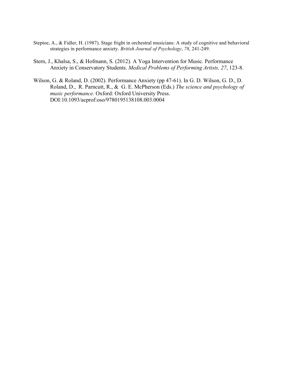- Steptoe, A., & Fidler, H. (1987). Stage fright in orchestral musicians: A study of cognitive and behavioral strategies in performance anxiety. *British Journal of Psychology*, *78*, 241-249.
- Stern, J., Khalsa, S., & Hofmann, S. (2012). A Yoga Intervention for Music. Performance Anxiety in Conservatory Students. *Medical Problems of Performing Artists, 27*, 123-8.
- Wilson, G. & Roland, D. (2002). Performance Anxiety (pp 47-61). In G. D. Wilson, G. D., D. Roland, D., R. Parncutt, R., & G. E. McPherson (Eds.) *The science and psychology of music performance.* Oxford: Oxford University Press. DOI:10.1093/acprof:oso/9780195138108.003.0004